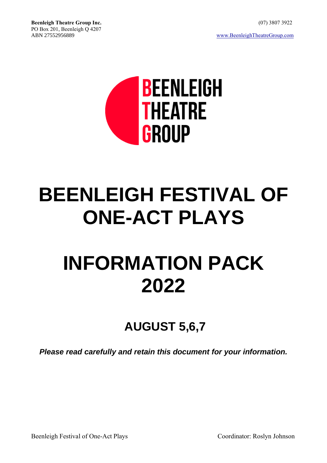

# **BEENLEIGH FESTIVAL OF ONE-ACT PLAYS**

# **INFORMATION PACK 2022**

# **AUGUST 5,6,7**

*Please read carefully and retain this document for your information.*

Beenleigh Festival of One-Act Plays Coordinator: Roslyn Johnson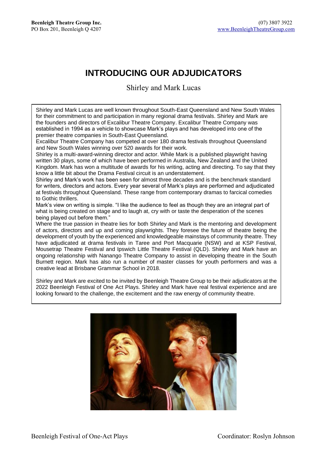# **INTRODUCING OUR ADJUDICATORS**

Shirley and Mark Lucas

Shirley and Mark Lucas are well known throughout South-East Queensland and New South Wales for their commitment to and participation in many regional drama festivals. Shirley and Mark are the founders and directors of Excalibur Theatre Company. Excalibur Theatre Company was established in 1994 as a vehicle to showcase Mark's plays and has developed into one of the premier theatre companies in South-East Queensland.

Excalibur Theatre Company has competed at over 180 drama festivals throughout Queensland and New South Wales winning over 520 awards for their work.

Shirley is a multi-award-winning director and actor. While Mark is a published playwright having written 30 plays, some of which have been performed in Australia, New Zealand and the United Kingdom. Mark has won a multitude of awards for his writing, acting and directing. To say that they know a little bit about the Drama Festival circuit is an understatement.

Shirley and Mark's work has been seen for almost three decades and is the benchmark standard for writers, directors and actors. Every year several of Mark's plays are performed and adjudicated at festivals throughout Queensland. These range from contemporary dramas to farcical comedies to Gothic thrillers.

Mark's view on writing is simple. "I like the audience to feel as though they are an integral part of what is being created on stage and to laugh at, cry with or taste the desperation of the scenes being played out before them."

Where the true passion in theatre lies for both Shirley and Mark is the mentoring and development of actors, directors and up and coming playwrights. They foresee the future of theatre being the development of youth by the experienced and knowledgeable mainstays of community theatre. They have adjudicated at drama festivals in Taree and Port Macquarie (NSW) and at KSP Festival, Mousetrap Theatre Festival and Ipswich Little Theatre Festival (QLD). Shirley and Mark have an ongoing relationship with Nanango Theatre Company to assist in developing theatre in the South Burnett region. Mark has also run a number of master classes for youth performers and was a creative lead at Brisbane Grammar School in 2018.

Shirley and Mark are excited to be invited by Beenleigh Theatre Group to be their adjudicators at the 2022 Beenleigh Festival of One Act Plays. Shirley and Mark have real festival experience and are looking forward to the challenge, the excitement and the raw energy of community theatre.

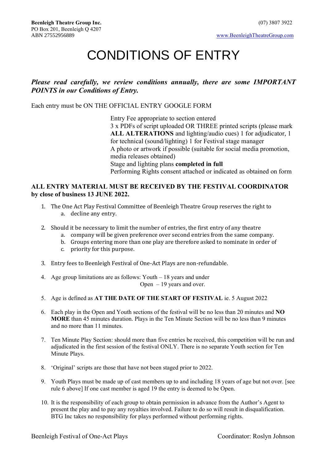# CONDITIONS OF ENTRY

#### *Please read carefully, we review conditions annually, there are some IMPORTANT POINTS in our Conditions of Entry.*

Each entry must be ON THE OFFICIAL ENTRY GOOGLE FORM

Entry Fee appropriate to section entered 3 x PDFs of script uploaded OR THREE printed scripts (please mark **ALL ALTERATIONS** and lighting/audio cues) 1 for adjudicator, 1 for technical (sound/lighting) 1 for Festival stage manager A photo or artwork if possible (suitable for social media promotion, media releases obtained) Stage and lighting plans **completed in full** Performing Rights consent attached or indicated as obtained on form

#### **ALL ENTRY MATERIAL MUST BE RECEIVED BY THE FESTIVAL COORDINATOR by close of business 13 JUNE 2022.**

- 1. The One Act Play Festival Committee of Beenleigh Theatre Group reserves the right to a. decline any entry.
- 2. Should it be necessary to limit the number of entries, the first entry of any theatre
	- a. company will be given preference over second entries from the same company.
	- b. Groups entering more than one play are therefore asked to nominate in order of
	- c. priority for this purpose.
- 3. Entry fees to Beenleigh Festival of One-Act Plays are non-refundable.
- 4. Age group limitations are as follows: Youth 18 years and under Open  $-19$  years and over.
- 5. Age is defined as **AT THE DATE OF THE START OF FESTIVAL** ie. 5 August 2022
- 6. Each play in the Open and Youth sections of the festival will be no less than 20 minutes and **NO MORE** than 45 minutes duration. Plays in the Ten Minute Section will be no less than 9 minutes and no more than 11 minutes.
- 7. Ten Minute Play Section: should more than five entries be received, this competition will be run and adjudicated in the first session of the festival ONLY. There is no separate Youth section for Ten Minute Plays.
- 8. 'Original' scripts are those that have not been staged prior to 2022.
- 9. Youth Plays must be made up of cast members up to and including 18 years of age but not over. [see rule 6 above] If one cast member is aged 19 the entry is deemed to be Open.
- 10. It is the responsibility of each group to obtain permission in advance from the Author's Agent to present the play and to pay any royalties involved. Failure to do so will result in disqualification. BTG Inc takes no responsibility for plays performed without performing rights.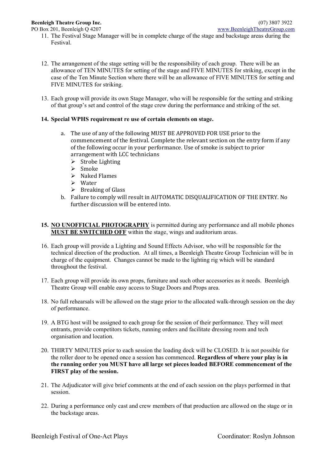- 11. The Festival Stage Manager will be in complete charge of the stage and backstage areas during the Festival.
- 12. The arrangement of the stage setting will be the responsibility of each group. There will be an allowance of TEN MINUTES for setting of the stage and FIVE MINUTES for striking, except in the case of the Ten Minute Section where there will be an allowance of FIVE MINUTES for setting and FIVE MINUTES for striking.
- 13. Each group will provide its own Stage Manager, who will be responsible for the setting and striking of that group's set and control of the stage crew during the performance and striking of the set.

#### **14. Special WPHS requirement re use of certain elements on stage.**

- a. The use of any of the following MUST BE APPROVED FOR USE prior to the commencement of the festival. Complete the relevant section on the entry form if any of the following occur in your performance. Use of smoke is subject to prior arrangement with LCC technicians
	- ➢ Strobe Lighting
	- ➢ Smoke
	- ➢ Naked Flames
	- ➢ Water
	- $\triangleright$  Breaking of Glass
- b. Failure to comply will result in AUTOMATIC DISQUALIFICATION OF THE ENTRY. No further discussion will be entered into.

#### **15. NO UNOFFICIAL PHOTOGRAPHY** is permitted during any performance and all mobile phones **MUST BE SWITCHED OFF** within the stage, wings and auditorium areas.

- 16. Each group will provide a Lighting and Sound Effects Advisor, who will be responsible for the technical direction of the production. At all times, a Beenleigh Theatre Group Technician will be in charge of the equipment. Changes cannot be made to the lighting rig which will be standard throughout the festival.
- 17. Each group will provide its own props, furniture and such other accessories as it needs. Beenleigh Theatre Group will enable easy access to Stage Doors and Props area.
- 18. No full rehearsals will be allowed on the stage prior to the allocated walk-through session on the day of performance.
- 19. A BTG host will be assigned to each group for the session of their performance. They will meet entrants, provide competitors tickets, running orders and facilitate dressing room and tech organisation and location.
- 20. THIRTY MINUTES prior to each session the loading dock will be CLOSED. It is not possible for the roller door to be opened once a session has commenced. **Regardless of where your play is in the running order you MUST have all large set pieces loaded BEFORE commencement of the FIRST play of the session.**
- 21. The Adjudicator will give brief comments at the end of each session on the plays performed in that session.
- 22. During a performance only cast and crew members of that production are allowed on the stage or in the backstage areas.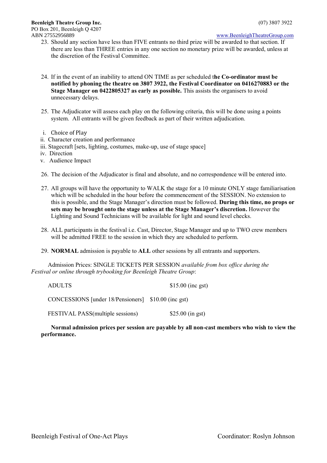#### ABN 27552956889 [www.BeenleighTheatreGroup.com](http://www.beenleightheatregroup.com/)

- 23. Should any section have less than FIVE entrants no third prize will be awarded to that section. If there are less than THREE entries in any one section no monetary prize will be awarded, unless at the discretion of the Festival Committee.
- 24. If in the event of an inability to attend ON TIME as per scheduled t**he Co-ordinator must be notified by phoning the theatre on 3807 3922, the Festival Coordinator on 0416270883 or the Stage Manager on 0422805327 as early as possible.** This assists the organisers to avoid unnecessary delays.
- 25. The Adjudicator will assess each play on the following criteria, this will be done using a points system. All entrants will be given feedback as part of their written adjudication.
- i. Choice of Play
- ii. Character creation and performance
- iii. Stagecraft [sets, lighting, costumes, make-up, use of stage space]
- iv. Direction
- v. Audience Impact
- 26. The decision of the Adjudicator is final and absolute, and no correspondence will be entered into.
- 27. All groups will have the opportunity to WALK the stage for a 10 minute ONLY stage familiarisation which will be scheduled in the hour before the commencement of the SESSION. No extension to this is possible, and the Stage Manager's direction must be followed. **During this time, no props or sets may be brought onto the stage unless at the Stage Manager's discretion.** However the Lighting and Sound Technicians will be available for light and sound level checks.
- 28. ALL participants in the festival i.e. Cast, Director, Stage Manager and up to TWO crew members will be admitted FREE to the session in which they are scheduled to perform.
- 29. **NORMAL** admission is payable to **ALL** other sessions by all entrants and supporters.

 Admission Prices: SINGLE TICKETS PER SESSION *available from box office during the Festival or online through trybooking for Beenleigh Theatre Group*:

ADULTS \$15.00 (inc gst) CONCESSIONS [under 18/Pensioners] \$10.00 (inc gst)

FESTIVAL PASS(multiple sessions) \$25.00 (in gst)

**Normal admission prices per session are payable by all non-cast members who wish to view the performance.**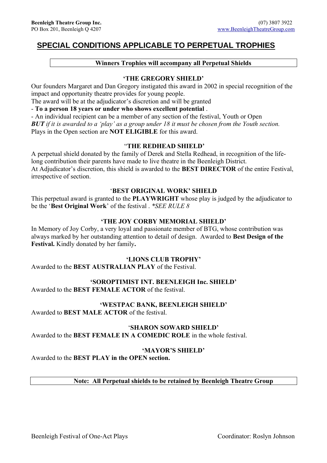## **SPECIAL CONDITIONS APPLICABLE TO PERPETUAL TROPHIES**

#### **Winners Trophies will accompany all Perpetual Shields**

#### **'THE GREGORY SHIELD'**

Our founders Margaret and Dan Gregory instigated this award in 2002 in special recognition of the impact and opportunity theatre provides for young people.

The award will be at the adjudicator's discretion and will be granted

- **To a person 18 years or under who shows excellent potential** .

- An individual recipient can be a member of any section of the festival, Youth or Open *BUT if it is awarded to a 'play' as a group under 18 it must be chosen from the Youth section.*  Plays in the Open section are **NOT ELIGIBLE** for this award.

#### "**THE REDHEAD SHIELD'**

A perpetual shield donated by the family of Derek and Stella Redhead, in recognition of the lifelong contribution their parents have made to live theatre in the Beenleigh District. At Adjudicator's discretion, this shield is awarded to the **BEST DIRECTOR** of the entire Festival, irrespective of section.

#### '**BEST ORIGINAL WORK' SHIELD**

This perpetual award is granted to the **PLAYWRIGHT** whose play is judged by the adjudicator to be the '**Best Original Work**' of the festival . *\*SEE RULE 8*

#### **'THE JOY CORBY MEMORIAL SHIELD'**

In Memory of Joy Corby, a very loyal and passionate member of BTG, whose contribution was always marked by her outstanding attention to detail of design. Awarded to **Best Design of the Festival.** Kindly donated by her family**.**

#### **'LIONS CLUB TROPHY'**

Awarded to the **BEST AUSTRALIAN PLAY** of the Festival.

#### **'SOROPTIMIST INT. BEENLEIGH Inc. SHIELD'**

Awarded to the **BEST FEMALE ACTOR** of the festival.

#### **'WESTPAC BANK, BEENLEIGH SHIELD'**

Awarded to **BEST MALE ACTOR** of the festival.

#### '**SHARON SOWARD SHIELD'**

Awarded to the **BEST FEMALE IN A COMEDIC ROLE** in the whole festival.

#### **'MAYOR'S SHIELD'**

Awarded to the **BEST PLAY in the OPEN section.**

#### **Note: All Perpetual shields to be retained by Beenleigh Theatre Group**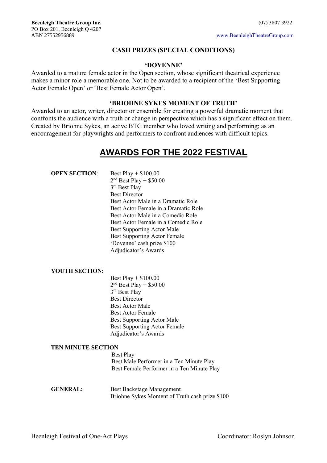#### **CASH PRIZES (SPECIAL CONDITIONS)**

#### **'DOYENNE'**

Awarded to a mature female actor in the Open section, whose significant theatrical experience makes a minor role a memorable one. Not to be awarded to a recipient of the 'Best Supporting Actor Female Open' or 'Best Female Actor Open'.

#### **'BRIOHNE SYKES MOMENT OF TRUTH'**

Awarded to an actor, writer, director or ensemble for creating a powerful dramatic moment that confronts the audience with a truth or change in perspective which has a significant effect on them. Created by Briohne Sykes, an active BTG member who loved writing and performing; as an encouragement for playwrights and performers to confront audiences with difficult topics.

# **AWARDS FOR THE 2022 FESTIVAL**

| <b>OPEN SECTION:</b> | Best Play + $$100.00$                |
|----------------------|--------------------------------------|
|                      | $2nd$ Best Play + \$50.00            |
|                      | 3 <sup>rd</sup> Best Play            |
|                      | <b>Best Director</b>                 |
|                      | Best Actor Male in a Dramatic Role   |
|                      | Best Actor Female in a Dramatic Role |
|                      | Best Actor Male in a Comedic Role    |
|                      | Best Actor Female in a Comedic Role  |
|                      | <b>Best Supporting Actor Male</b>    |
|                      | <b>Best Supporting Actor Female</b>  |
|                      | 'Doyenne' cash prize \$100           |
|                      | Adjudicator's Awards                 |
|                      |                                      |

#### **YOUTH SECTION:**

Best Play + \$100.00  $2<sup>nd</sup>$  Best Play + \$50.00 3 rd Best Play Best Director Best Actor Male Best Actor Female Best Supporting Actor Male Best Supporting Actor Female Adjudicator's Awards

#### **TEN MINUTE SECTION**

**Best Play** Best Male Performer in a Ten Minute Play Best Female Performer in a Ten Minute Play

GENERAL: Best Backstage Management Briohne Sykes Moment of Truth cash prize \$100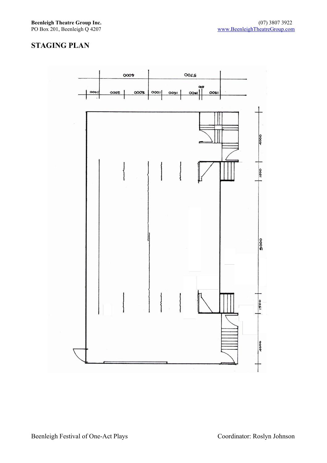### **STAGING PLAN**

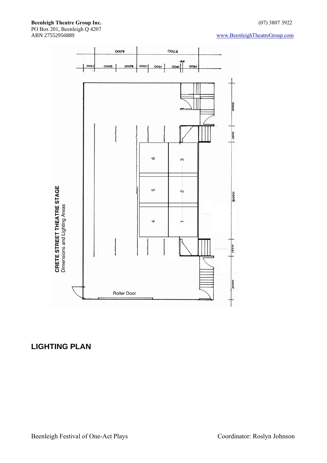#### **Beenleigh Theatre Group Inc.** (07) 3807 3922 PO Box 201, Beenleigh Q 4207

#### [www.BeenleighTheatreGroup.com](http://www.beenleightheatregroup.com/)



## **LIGHTING PLAN**